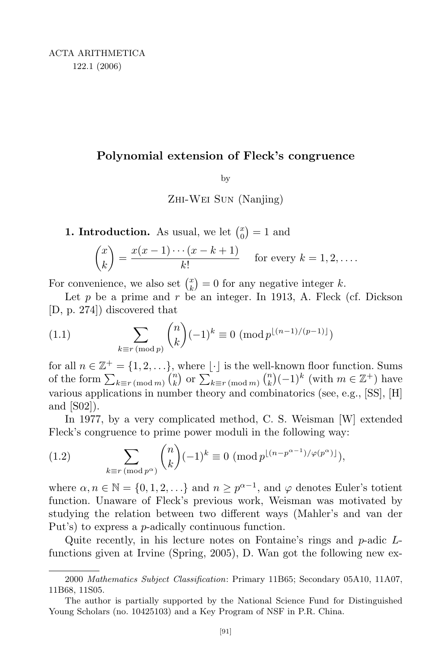## **Polynomial extension of Fleck's congruence**

by

Zhi-Wei Sun (Nanjing)

**1. Introduction.** As usual, we let  $\binom{x}{0}$  $\binom{x}{0} = 1$  and

$$
\binom{x}{k} = \frac{x(x-1)\cdots(x-k+1)}{k!}
$$
 for every  $k = 1, 2, \ldots$ .

For convenience, we also set  $\binom{x}{k}$  $\binom{x}{k} = 0$  for any negative integer *k*.

Let  $p$  be a prime and  $r$  be an integer. In 1913, A. Fleck (cf. Dickson [D, p. 274]) discovered that

(1.1) 
$$
\sum_{k \equiv r \pmod{p}} {n \choose k} (-1)^k \equiv 0 \pmod{p^{\lfloor (n-1)/(p-1) \rfloor}}
$$

for all  $n \in \mathbb{Z}^+ = \{1, 2, \ldots\}$ , where  $\lfloor \cdot \rfloor$  is the well-known floor function. Sums of the form  $\sum_{k \equiv r \pmod{m}} {n \choose k}$  or  $\sum_{k \equiv r \pmod{m}} {n \choose k} (-1)^k$  (with  $m \in \mathbb{Z}^+$ ) have various applications in number theory and combinatorics (see, e.g., [SS], [H] and [S02]).

In 1977, by a very complicated method, C. S. Weisman [W] extended Fleck's congruence to prime power moduli in the following way:

(1.2) 
$$
\sum_{k \equiv r \pmod{p^{\alpha}}} {n \choose k} (-1)^k \equiv 0 \; (\text{mod } p^{\lfloor (n-p^{\alpha-1})/\varphi(p^{\alpha}) \rfloor}),
$$

where  $\alpha, n \in \mathbb{N} = \{0, 1, 2, \ldots\}$  and  $n \geq p^{\alpha-1}$ , and  $\varphi$  denotes Euler's totient function. Unaware of Fleck's previous work, Weisman was motivated by studying the relation between two different ways (Mahler's and van der Put's) to express a *p*-adically continuous function.

Quite recently, in his lecture notes on Fontaine's rings and *p*-adic *L*functions given at Irvine (Spring, 2005), D. Wan got the following new ex-

<sup>2000</sup> *Mathematics Subject Classification*: Primary 11B65; Secondary 05A10, 11A07, 11B68, 11S05.

The author is partially supported by the National Science Fund for Distinguished Young Scholars (no. 10425103) and a Key Program of NSF in P.R. China.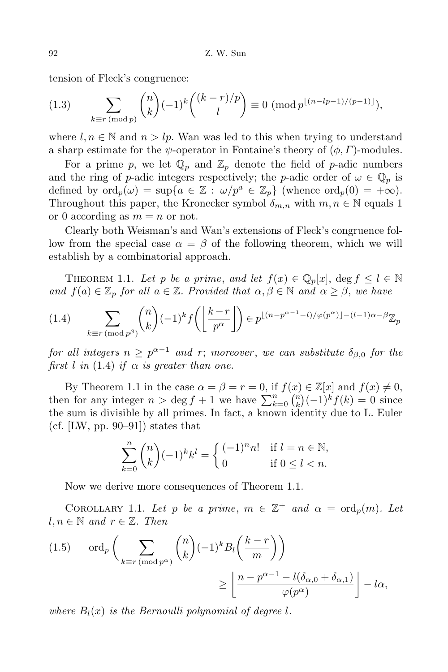tension of Fleck's congruence:

(1.3) 
$$
\sum_{k \equiv r \pmod{p}} {n \choose k} (-1)^k { (k-r)/p \choose l} \equiv 0 \pmod{p^{\lfloor (n-lp-1)/(p-1) \rfloor}},
$$

where  $l, n \in \mathbb{N}$  and  $n > lp$ . Wan was led to this when trying to understand a sharp estimate for the *ψ*-operator in Fontaine's theory of (*φ, Γ*)-modules.

For a prime p, we let  $\mathbb{Q}_p$  and  $\mathbb{Z}_p$  denote the field of p-adic numbers and the ring of *p*-adic integers respectively; the *p*-adic order of  $\omega \in \mathbb{Q}_p$  is defined by  $\text{ord}_p(\omega) = \sup\{a \in \mathbb{Z} : \omega/p^a \in \mathbb{Z}_p\}$  (whence  $\text{ord}_p(0) = +\infty$ ). Throughout this paper, the Kronecker symbol  $\delta_{m,n}$  with  $m, n \in \mathbb{N}$  equals 1 or 0 according as  $m = n$  or not.

Clearly both Weisman's and Wan's extensions of Fleck's congruence follow from the special case  $\alpha = \beta$  of the following theorem, which we will establish by a combinatorial approach.

THEOREM 1.1. Let *p* be a prime, and let  $f(x) \in \mathbb{Q}_p[x]$ , deg  $f \leq l \in \mathbb{N}$ *and*  $f(a) \in \mathbb{Z}_p$  *for all*  $a \in \mathbb{Z}$ *. Provided that*  $\alpha, \beta \in \mathbb{N}$  *and*  $\alpha \geq \beta$ *, we have* 

$$
(1.4)\qquad \sum_{k\equiv r\,(\text{mod }p^{\beta})}\binom{n}{k}(-1)^{k}f\left(\left\lfloor\frac{k-r}{p^{\alpha}}\right\rfloor\right)\in p^{\lfloor(n-p^{\alpha-1}-l)/\varphi(p^{\alpha})\rfloor-(l-1)\alpha-\beta}\mathbb{Z}_{p}
$$

 $for \ all \ integers \ n \geq p^{\alpha-1} \ and \ r; \ more \ over, \ we \ can \ substitute \ \delta_{\beta,0} \ for \ the$ *first l in* (1.4) *if*  $\alpha$  *is greater than one.* 

By Theorem 1.1 in the case  $\alpha = \beta = r = 0$ , if  $f(x) \in \mathbb{Z}[x]$  and  $f(x) \neq 0$ , then for any integer  $n > \deg f + 1$  we have  $\sum_{k=0}^{n} {n \choose k} (-1)^k f(k) = 0$  since the sum is divisible by all primes. In fact, a known identity due to L. Euler (cf. [LW, pp. 90–91]) states that

$$
\sum_{k=0}^{n} \binom{n}{k} (-1)^k k^l = \begin{cases} (-1)^n n! & \text{if } l = n \in \mathbb{N}, \\ 0 & \text{if } 0 \le l < n. \end{cases}
$$

Now we derive more consequences of Theorem 1.1.

COROLLARY 1.1. Let *p* be a prime,  $m \in \mathbb{Z}^+$  and  $\alpha = \text{ord}_p(m)$ . Let  $l, n \in \mathbb{N}$  and  $r \in \mathbb{Z}$ . Then

(1.5) 
$$
\operatorname{ord}_p\left(\sum_{k \equiv r \pmod{p^{\alpha}}} {n \choose k} (-1)^k B_l\left(\frac{k-r}{m}\right) \right) \ge \left\lfloor \frac{n - p^{\alpha - 1} - l(\delta_{\alpha,0} + \delta_{\alpha,1})}{\varphi(p^{\alpha})} \right\rfloor - l\alpha,
$$

*where*  $B_l(x)$  *is the Bernoulli polynomial of degree l.*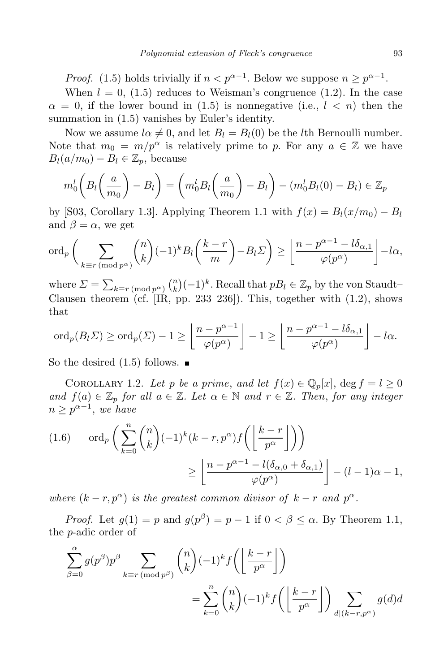*Proof.* (1.5) holds trivially if  $n < p^{\alpha-1}$ . Below we suppose  $n \geq p^{\alpha-1}$ .

When  $l = 0$ , (1.5) reduces to Weisman's congruence (1.2). In the case  $\alpha = 0$ , if the lower bound in (1.5) is nonnegative (i.e.,  $l \leq n$ ) then the summation in (1.5) vanishes by Euler's identity.

Now we assume  $l\alpha \neq 0$ , and let  $B_l = B_l(0)$  be the *l*th Bernoulli number. Note that  $m_0 = m/p^{\alpha}$  is relatively prime to *p*. For any  $a \in \mathbb{Z}$  we have  $B_l(a/m_0) - B_l \in \mathbb{Z}_p$ , because

$$
m_0^l \left( B_l \left( \frac{a}{m_0} \right) - B_l \right) = \left( m_0^l B_l \left( \frac{a}{m_0} \right) - B_l \right) - \left( m_0^l B_l (0) - B_l \right) \in \mathbb{Z}_p
$$

by [S03, Corollary 1.3]. Applying Theorem 1.1 with  $f(x) = B_l(x/m_0) - B_l$ and  $\beta = \alpha$ , we get

$$
\operatorname{ord}_p\bigg(\sum_{k\equiv r\,(\text{mod }p^{\alpha})}\binom{n}{k}(-1)^kB_l\bigg(\frac{k-r}{m}\bigg)-B_l\Sigma\bigg)\geq \bigg\lfloor\frac{n-p^{\alpha-1}-l\delta_{\alpha,1}}{\varphi(p^{\alpha})}\bigg\rfloor-l\alpha,
$$

where  $\Sigma = \sum_{k \equiv r \pmod{p^{\alpha}}} {n \choose k} (-1)^k$ . Recall that  $pB_l \in \mathbb{Z}_p$  by the von Staudt– Clausen theorem (cf.  $[\text{IR}, \text{pp. 233-236}]$ ). This, together with  $(1.2)$ , shows that

$$
\mathrm{ord}_p(B_l\Sigma)\geq \mathrm{ord}_p(\Sigma)-1\geq \left\lfloor\frac{n-p^{\alpha-1}}{\varphi(p^{\alpha})}\right\rfloor-1\geq \left\lfloor\frac{n-p^{\alpha-1}-l\delta_{\alpha,1}}{\varphi(p^{\alpha})}\right\rfloor-l\alpha.
$$

So the desired  $(1.5)$  follows.  $\blacksquare$ 

COROLLARY 1.2. Let *p* be a prime, and let  $f(x) \in \mathbb{Q}_p[x]$ , deg  $f = l \geq 0$ *and*  $f(a) \in \mathbb{Z}_p$  *for all*  $a \in \mathbb{Z}$ *. Let*  $\alpha \in \mathbb{N}$  *and*  $r \in \mathbb{Z}$ *. Then, for any integer*  $n \geq p^{\alpha-1}$ , *we have* 

$$
(1.6) \quad \text{ord}_p\left(\sum_{k=0}^n \binom{n}{k}(-1)^k(k-r,p^{\alpha})f\left(\left\lfloor\frac{k-r}{p^{\alpha}}\right\rfloor\right)\right)
$$

$$
\geq \left\lfloor\frac{n-p^{\alpha-1}-l(\delta_{\alpha,0}+\delta_{\alpha,1})}{\varphi(p^{\alpha})}\right\rfloor - (l-1)\alpha - 1,
$$

*where*  $(k - r, p^{\alpha})$  *is the greatest common divisor of*  $k - r$  *and*  $p^{\alpha}$ *.* 

*Proof.* Let  $g(1) = p$  and  $g(p^{\beta}) = p - 1$  if  $0 < \beta \leq \alpha$ . By Theorem 1.1, the *p*-adic order of

$$
\sum_{\beta=0}^{\alpha} g(p^{\beta}) p^{\beta} \sum_{k \equiv r \pmod{p^{\beta}}} \binom{n}{k} (-1)^{k} f\left(\left\lfloor \frac{k-r}{p^{\alpha}} \right\rfloor\right)
$$

$$
= \sum_{k=0}^{n} \binom{n}{k} (-1)^{k} f\left(\left\lfloor \frac{k-r}{p^{\alpha}} \right\rfloor\right) \sum_{d | (k-r, p^{\alpha})} g(d) d
$$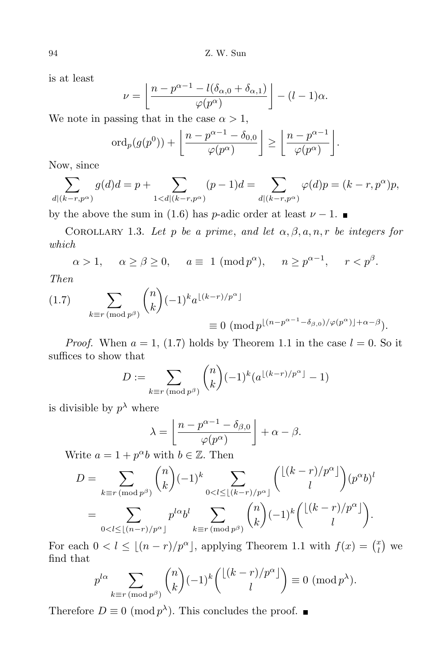is at least

$$
\nu = \left\lfloor \frac{n - p^{\alpha - 1} - l(\delta_{\alpha,0} + \delta_{\alpha,1})}{\varphi(p^{\alpha})} \right\rfloor - (l - 1)\alpha.
$$

We note in passing that in the case  $\alpha > 1$ ,

$$
\mathrm{ord}_p(g(p^0))+\left\lfloor\frac{n-p^{\alpha-1}-\delta_{0,0}}{\varphi(p^{\alpha})}\right\rfloor\geq \left\lfloor\frac{n-p^{\alpha-1}}{\varphi(p^{\alpha})}\right\rfloor.
$$

Now, since

$$
\sum_{d|(k-r,p^{\alpha})} g(d)d = p + \sum_{1 < d|(k-r,p^{\alpha})} (p-1)d = \sum_{d|(k-r,p^{\alpha})} \varphi(d)p = (k-r,p^{\alpha})p,
$$

by the above the sum in (1.6) has *p*-adic order at least  $\nu - 1$ .

COROLLARY 1.3. Let *p* be a prime, and let  $\alpha, \beta, a, n, r$  be integers for *which*

$$
\alpha > 1, \quad \alpha \ge \beta \ge 0, \quad a \equiv 1 \ (\text{mod } p^{\alpha}), \quad n \ge p^{\alpha - 1}, \quad r < p^{\beta}.
$$

*Then*

(1.7) 
$$
\sum_{k \equiv r \pmod{p^{\beta}}} {n \choose k} (-1)^k a^{\lfloor (k-r)/p^{\alpha} \rfloor}
$$

$$
\equiv 0 \pmod{p^{\lfloor (n-p^{\alpha-1}-\delta_{\beta,0})/\varphi(p^{\alpha}) \rfloor + \alpha - \beta}}.
$$

*Proof.* When  $a = 1$ , (1.7) holds by Theorem 1.1 in the case  $l = 0$ . So it suffices to show that

$$
D := \sum_{k \equiv r \pmod{p^{\beta}}} {n \choose k} (-1)^k (a^{\lfloor (k-r)/p^{\alpha} \rfloor} - 1)
$$

is divisible by  $p^{\lambda}$  where

$$
\lambda = \left\lfloor \frac{n - p^{\alpha - 1} - \delta_{\beta,0}}{\varphi(p^{\alpha})} \right\rfloor + \alpha - \beta.
$$

Write  $a = 1 + p^{\alpha}b$  with  $b \in \mathbb{Z}$ . Then

$$
D = \sum_{k \equiv r \pmod{p^{\beta}}} {n \choose k} (-1)^k \sum_{0 < l \le \lfloor (k-r)/p^{\alpha} \rfloor} {\lfloor (k-r)/p^{\alpha} \rfloor \choose l} (p^{\alpha}b)^l
$$
  
= 
$$
\sum_{0 < l \le \lfloor (n-r)/p^{\alpha} \rfloor} p^{l\alpha}b^l \sum_{k \equiv r \pmod{p^{\beta}}} {n \choose k} (-1)^k {\lfloor (k-r)/p^{\alpha} \rfloor \choose l}.
$$

For each  $0 < l \leq \lfloor (n-r)/p^{\alpha} \rfloor$ , applying Theorem 1.1 with  $f(x) = \binom{n}{l}$  $\binom{x}{l}$  we find that

$$
p^{l\alpha} \sum_{k \equiv r \pmod{p^{\beta}}} \binom{n}{k} (-1)^k \binom{\lfloor (k-r)/p^{\alpha} \rfloor}{l} \equiv 0 \pmod{p^{\lambda}}.
$$

Therefore  $D \equiv 0 \pmod{p^{\lambda}}$ . This concludes the proof.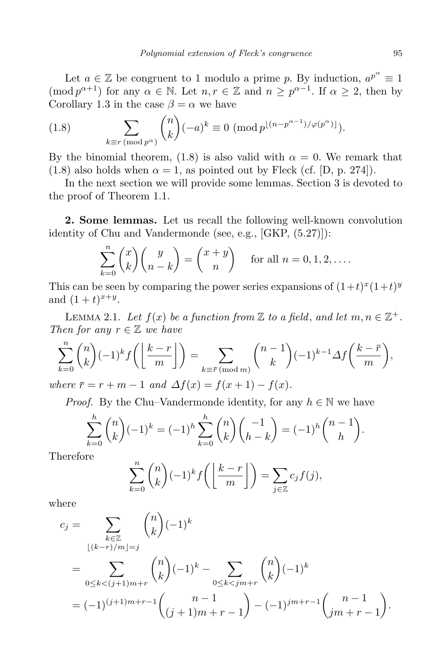Let  $a \in \mathbb{Z}$  be congruent to 1 modulo a prime *p*. By induction,  $a^{p^{\alpha}} \equiv 1$  $(\text{mod } p^{\alpha+1})$  for any  $\alpha \in \mathbb{N}$ . Let  $n, r \in \mathbb{Z}$  and  $n \geq p^{\alpha-1}$ . If  $\alpha \geq 2$ , then by Corollary 1.3 in the case  $\beta = \alpha$  we have

(1.8) 
$$
\sum_{k \equiv r \pmod{p^{\alpha}}} \binom{n}{k} (-a)^k \equiv 0 \pmod{p^{\lfloor (n-p^{\alpha-1})/(\varphi(p^{\alpha}) \rfloor}}.
$$

By the binomial theorem, (1.8) is also valid with  $\alpha = 0$ . We remark that (1.8) also holds when  $\alpha = 1$ , as pointed out by Fleck (cf. [D, p. 274]).

In the next section we will provide some lemmas. Section 3 is devoted to the proof of Theorem 1.1.

**2. Some lemmas.** Let us recall the following well-known convolution identity of Chu and Vandermonde (see, e.g., [GKP, (5.27)]):

$$
\sum_{k=0}^{n} {x \choose k} {y \choose n-k} = {x+y \choose n}
$$
 for all  $n = 0, 1, 2, ...$ 

This can be seen by comparing the power series expansions of  $(1+t)^x(1+t)^y$ and  $(1 + t)^{x+y}$ .

LEMMA 2.1. Let  $f(x)$  be a function from  $\mathbb Z$  to a field, and let  $m, n \in \mathbb Z^+$ . *Then for any*  $r \in \mathbb{Z}$  *we have* 

$$
\sum_{k=0}^{n} {n \choose k} (-1)^k f\left(\left\lfloor \frac{k-r}{m} \right\rfloor\right) = \sum_{k \equiv \bar{r} \pmod{m}} {n-1 \choose k} (-1)^{k-1} \Delta f\left(\frac{k-\bar{r}}{m}\right),
$$

 $where \space \bar{r} = r + m - 1 \text{ and } \Delta f(x) = f(x+1) - f(x).$ 

*Proof.* By the Chu–Vandermonde identity, for any  $h \in \mathbb{N}$  we have

$$
\sum_{k=0}^{h} \binom{n}{k} (-1)^k = (-1)^h \sum_{k=0}^{h} \binom{n}{k} \binom{-1}{h-k} = (-1)^h \binom{n-1}{h}.
$$

Therefore

$$
\sum_{k=0}^{n} {n \choose k} (-1)^{k} f\left(\left\lfloor \frac{k-r}{m} \right\rfloor\right) = \sum_{j \in \mathbb{Z}} c_{j} f(j),
$$

where

$$
c_j = \sum_{\substack{k \in \mathbb{Z} \\ (k-r)/m = j}} {n \choose k} (-1)^k
$$
  
= 
$$
\sum_{0 \le k < (j+1)m+r} {n \choose k} (-1)^k - \sum_{0 \le k < jm+r} {n \choose k} (-1)^k
$$
  
= 
$$
(-1)^{(j+1)m+r-1} {n-1 \choose (j+1)m+r-1} - (-1)^{jm+r-1} {n-1 \choose jm+r-1}.
$$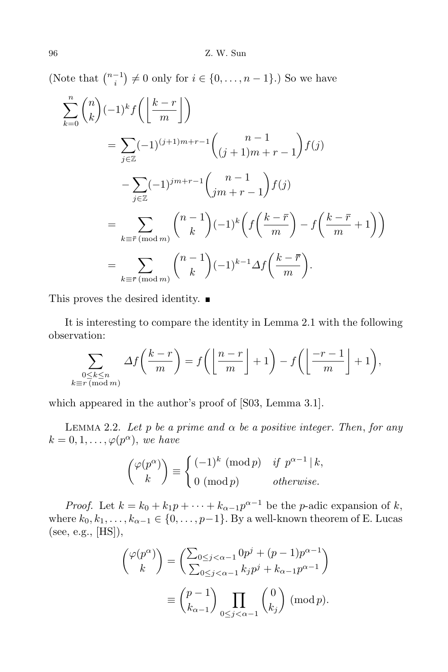(Note that  $\binom{n-1}{i} \neq 0$  only for  $i \in \{0, \ldots, n-1\}$ .) So we have

$$
\sum_{k=0}^{n} {n \choose k} (-1)^{k} f\left(\left\lfloor \frac{k-r}{m} \right\rfloor\right)
$$
\n
$$
= \sum_{j \in \mathbb{Z}} (-1)^{(j+1)m+r-1} {n-1 \choose (j+1)m+r-1} f(j)
$$
\n
$$
- \sum_{j \in \mathbb{Z}} (-1)^{jm+r-1} {n-1 \choose jm+r-1} f(j)
$$
\n
$$
= \sum_{k \equiv \bar{r} \pmod{m}} {n-1 \choose k} (-1)^{k} \left(f\left(\frac{k-\bar{r}}{m}\right) - f\left(\frac{k-\bar{r}}{m} + 1\right)\right)
$$
\n
$$
= \sum_{k \equiv \bar{r} \pmod{m}} {n-1 \choose k} (-1)^{k-1} \Delta f\left(\frac{k-\bar{r}}{m}\right).
$$

This proves the desired identity.  $\blacksquare$ 

It is interesting to compare the identity in Lemma 2.1 with the following observation:

$$
\sum_{\substack{0 \le k \le n \\ k \equiv r \pmod{m}}} \Delta f\left(\frac{k-r}{m}\right) = f\left(\left\lfloor\frac{n-r}{m}\right\rfloor + 1\right) - f\left(\left\lfloor\frac{-r-1}{m}\right\rfloor + 1\right),
$$

which appeared in the author's proof of [S03, Lemma 3.1].

Lemma 2.2. *Let p be a prime and α be a positive integer. Then*, *for any*  $k = 0, 1, \ldots, \varphi(p^{\alpha}),$  *we have* 

$$
\binom{\varphi(p^{\alpha})}{k} \equiv \begin{cases} (-1)^k \pmod{p} & \text{if } p^{\alpha-1} \mid k, \\ 0 \pmod{p} & \text{otherwise.} \end{cases}
$$

*Proof.* Let  $k = k_0 + k_1p + \cdots + k_{\alpha-1}p^{\alpha-1}$  be the *p*-adic expansion of *k*, where  $k_0, k_1, \ldots, k_{\alpha-1} \in \{0, \ldots, p-1\}$ . By a well-known theorem of E. Lucas (see, e.g., [HS]),

$$
\begin{pmatrix} \varphi(p^{\alpha}) \\ k \end{pmatrix} = \left( \frac{\sum_{0 \le j < \alpha - 1} 0p^j + (p - 1)p^{\alpha - 1}}{\sum_{0 \le j < \alpha - 1} k_j p^j + k_{\alpha - 1}p^{\alpha - 1}} \right)
$$
\n
$$
\equiv \binom{p - 1}{k_{\alpha - 1}} \prod_{0 \le j < \alpha - 1} \binom{0}{k_j} \; (\text{mod } p).
$$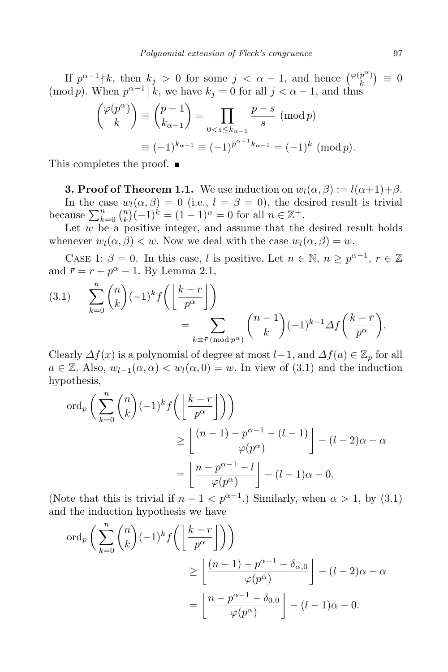If  $p^{\alpha-1} \nmid k$ , then  $k_j > 0$  for some  $j < \alpha - 1$ , and hence  $\binom{\varphi(p^{\alpha})}{k}$  $\binom{p^{\alpha}}{k} \equiv 0$ (mod *p*). When  $p^{\alpha-1} | k$ , we have  $k_j = 0$  for all  $j < \alpha - 1$ , and thus

$$
\begin{aligned} \binom{\varphi(p^{\alpha})}{k} &\equiv \binom{p-1}{k_{\alpha-1}} = \prod_{0 < s \le k_{\alpha-1}} \frac{p-s}{s} \pmod{p} \\ &\equiv (-1)^{k_{\alpha-1}} \equiv (-1)^{p^{\alpha-1}k_{\alpha-1}} = (-1)^k \pmod{p}. \end{aligned}
$$

This completes the proof. ■

**3. Proof of Theorem 1.1.** We use induction on  $w_l(\alpha, \beta) := l(\alpha+1)+\beta$ . In the case  $w_l(\alpha, \beta) = 0$  (i.e.,  $l = \beta = 0$ ), the desired result is trivial because  $\sum_{k=0}^{n} {n \choose k} (-1)^k = (1-1)^n = 0$  for all  $n \in \mathbb{Z}^+$ .

Let *w* be a positive integer, and assume that the desired result holds whenever  $w_l(\alpha, \beta) < w$ . Now we deal with the case  $w_l(\alpha, \beta) = w$ .

CASE 1:  $\beta = 0$ . In this case, *l* is positive. Let  $n \in \mathbb{N}$ ,  $n \geq p^{\alpha-1}$ ,  $r \in \mathbb{Z}$ and  $\bar{r} = r + p^{\alpha} - 1$ . By Lemma 2.1,

(3.1) 
$$
\sum_{k=0}^{n} {n \choose k} (-1)^{k} f\left(\left\lfloor \frac{k-r}{p^{\alpha}} \right\rfloor\right)
$$

$$
= \sum_{k \equiv \overline{r} \pmod{p^{\alpha}}} {n-1 \choose k} (-1)^{k-1} \Delta f\left(\frac{k-\overline{r}}{p^{\alpha}}\right).
$$

Clearly  $\Delta f(x)$  is a polynomial of degree at most  $l-1$ , and  $\Delta f(a) \in \mathbb{Z}_p$  for all  $a \in \mathbb{Z}$ . Also,  $w_{l-1}(\alpha, \alpha) < w_l(\alpha, 0) = w$ . In view of (3.1) and the induction hypothesis,

$$
\begin{aligned} \n\text{ord}_p\left(\sum_{k=0}^n \binom{n}{k}(-1)^k f\left(\left\lfloor\frac{k-r}{p^{\alpha}}\right\rfloor\right)\right) \\
&\geq \left\lfloor \frac{(n-1)-p^{\alpha-1}-(l-1)}{\varphi(p^{\alpha})}\right\rfloor - (l-2)\alpha - \alpha \\
&= \left\lfloor \frac{n-p^{\alpha-1}-l}{\varphi(p^{\alpha})}\right\rfloor - (l-1)\alpha - 0. \n\end{aligned}
$$

(Note that this is trivial if  $n-1 < p^{\alpha-1}$ .) Similarly, when  $\alpha > 1$ , by (3.1) and the induction hypothesis we have

$$
\begin{aligned} \n\text{ord}_p\left(\sum_{k=0}^n \binom{n}{k}(-1)^k f\left(\left\lfloor\frac{k-r}{p^{\alpha}}\right\rfloor\right)\right) \\
&\geq \left\lfloor \frac{(n-1)-p^{\alpha-1}-\delta_{\alpha,0}}{\varphi(p^{\alpha})}\right\rfloor - (l-2)\alpha - \alpha \\
&= \left\lfloor \frac{n-p^{\alpha-1}-\delta_{0,0}}{\varphi(p^{\alpha})}\right\rfloor - (l-1)\alpha - 0.\n\end{aligned}
$$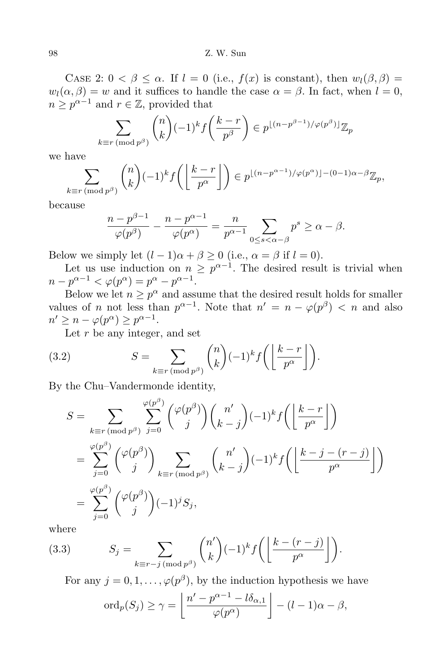CASE 2:  $0 < \beta \leq \alpha$ . If  $l = 0$  (i.e.,  $f(x)$  is constant), then  $w_l(\beta, \beta) =$  $w_l(\alpha, \beta) = w$  and it suffices to handle the case  $\alpha = \beta$ . In fact, when  $l = 0$ ,  $n \geq p^{\alpha-1}$  and  $r \in \mathbb{Z}$ , provided that

$$
\sum_{k \equiv r \pmod{p^{\beta}}} \binom{n}{k} (-1)^k f\left(\frac{k-r}{p^{\beta}}\right) \in p^{\lfloor (n-p^{\beta-1})/\varphi(p^{\beta}) \rfloor} \mathbb{Z}_p
$$

we have

$$
\sum_{k \equiv r \, (\text{mod } p^{\beta})} {n \choose k} (-1)^k f\left(\left\lfloor \frac{k-r}{p^{\alpha}} \right\rfloor\right) \in p^{\lfloor (n-p^{\alpha-1})/\varphi(p^{\alpha}) \rfloor - (0-1)\alpha - \beta} \mathbb{Z}_p,
$$

because

$$
\frac{n-p^{\beta-1}}{\varphi(p^{\beta})} - \frac{n-p^{\alpha-1}}{\varphi(p^{\alpha})} = \frac{n}{p^{\alpha-1}} \sum_{0 \le s < \alpha-\beta} p^s \ge \alpha - \beta.
$$

Below we simply let  $(l-1)\alpha + \beta \geq 0$  (i.e.,  $\alpha = \beta$  if  $l = 0$ ).

Let us use induction on  $n \geq p^{\alpha-1}$ . The desired result is trivial when  $n - p^{\alpha - 1} < \varphi(p^{\alpha}) = p^{\alpha} - p^{\alpha - 1}.$ 

Below we let  $n \geq p^{\alpha}$  and assume that the desired result holds for smaller values of *n* not less than  $p^{\alpha-1}$ . Note that  $n' = n - \varphi(p^{\beta}) < n$  and also  $n' \geq n - \varphi(p^{\alpha}) \geq p^{\alpha - 1}.$ 

Let *r* be any integer, and set

(3.2) 
$$
S = \sum_{k \equiv r \pmod{p^{\beta}}} {n \choose k} (-1)^k f\left(\left\lfloor \frac{k-r}{p^{\alpha}} \right\rfloor\right).
$$

By the Chu–Vandermonde identity,

$$
S = \sum_{k \equiv r \pmod{p^{\beta}}} \sum_{j=0}^{\varphi(p^{\beta})} {\varphi(p^{\beta}) \choose j} {n' \choose k-j} (-1)^{k} f\left(\left\lfloor \frac{k-r}{p^{\alpha}}\right\rfloor\right)
$$
  

$$
= \sum_{j=0}^{\varphi(p^{\beta})} {\varphi(p^{\beta}) \choose j} \sum_{k \equiv r \pmod{p^{\beta}}} {n' \choose k-j} (-1)^{k} f\left(\left\lfloor \frac{k-j-(r-j)}{p^{\alpha}}\right\rfloor\right)
$$
  

$$
= \sum_{j=0}^{\varphi(p^{\beta})} {\varphi(p^{\beta}) \choose j} (-1)^{j} S_{j},
$$

where

(3.3) 
$$
S_j = \sum_{k \equiv r-j \pmod{p^{\beta}}} {n' \choose k} (-1)^k f\left(\left\lfloor \frac{k-(r-j)}{p^{\alpha}} \right\rfloor\right).
$$

For any  $j = 0, 1, \ldots, \varphi(p^{\beta}),$  by the induction hypothesis we have

$$
\mathrm{ord}_p(S_j) \ge \gamma = \left\lfloor \frac{n' - p^{\alpha - 1} - l \delta_{\alpha,1}}{\varphi(p^{\alpha})} \right\rfloor - (l - 1)\alpha - \beta,
$$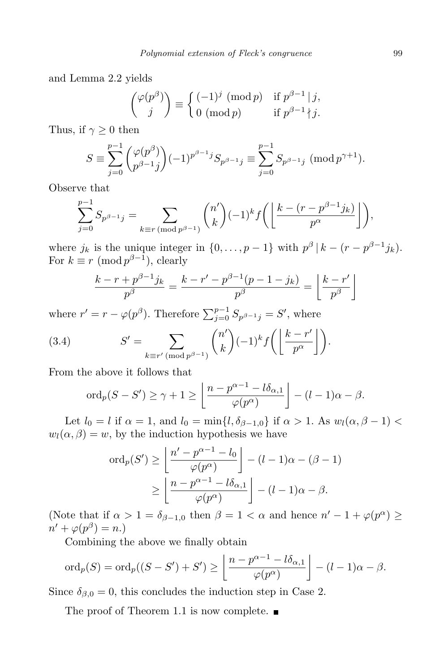and Lemma 2.2 yields

$$
\binom{\varphi(p^{\beta})}{j} \equiv \begin{cases} (-1)^j \pmod{p} & \text{if } p^{\beta-1} \mid j, \\ 0 \pmod{p} & \text{if } p^{\beta-1} \nmid j. \end{cases}
$$

Thus, if  $\gamma \geq 0$  then

$$
S \equiv \sum_{j=0}^{p-1} {\varphi(p^{\beta}) \choose p^{\beta-1}j} (-1)^{p^{\beta-1}j} S_{p^{\beta-1}j} \equiv \sum_{j=0}^{p-1} S_{p^{\beta-1}j} \; (\text{mod } p^{\gamma+1}).
$$

Observe that

$$
\sum_{j=0}^{p-1} S_{p^{\beta-1}j} = \sum_{k \equiv r \pmod{p^{\beta-1}}} \binom{n'}{k} (-1)^k f\left(\left\lfloor \frac{k - (r - p^{\beta-1}j_k)}{p^{\alpha}} \right\rfloor \right),
$$

where  $j_k$  is the unique integer in  $\{0, \ldots, p-1\}$  with  $p^{\beta} | k - (r - p^{\beta-1} j_k)$ . For  $k \equiv r \pmod{p^{\beta-1}}$ , clearly

$$
\frac{k-r+p^{\beta-1}j_k}{p^{\beta}} = \frac{k-r'-p^{\beta-1}(p-1-j_k)}{p^{\beta}} = \left\lfloor \frac{k-r'}{p^{\beta}} \right\rfloor
$$

where  $r' = r - \varphi(p^{\beta})$ . Therefore  $\sum_{j=0}^{p-1} S_{p^{\beta-1}j} = S'$ , where

(3.4) 
$$
S' = \sum_{k \equiv r' \pmod{p^{\beta-1}}} {n' \choose k} (-1)^k f\left(\left\lfloor \frac{k-r'}{p^{\alpha}} \right\rfloor\right).
$$

From the above it follows that

$$
\operatorname{ord}_p(S-S')\geq \gamma+1\geq \left\lfloor\frac{n-p^{\alpha-1}-l\delta_{\alpha,1}}{\varphi(p^{\alpha})}\right\rfloor-(l-1)\alpha-\beta.
$$

Let  $l_0 = l$  if  $\alpha = 1$ , and  $l_0 = \min\{l, \delta_{\beta-1,0}\}$  if  $\alpha > 1$ . As  $w_l(\alpha, \beta - 1)$  $w_l(\alpha, \beta) = w$ , by the induction hypothesis we have

$$
\operatorname{ord}_p(S') \ge \left\lfloor \frac{n' - p^{\alpha - 1} - l_0}{\varphi(p^{\alpha})} \right\rfloor - (l - 1)\alpha - (\beta - 1)
$$

$$
\ge \left\lfloor \frac{n - p^{\alpha - 1} - l\delta_{\alpha, 1}}{\varphi(p^{\alpha})} \right\rfloor - (l - 1)\alpha - \beta.
$$

(Note that if  $\alpha > 1 = \delta_{\beta-1,0}$  then  $\beta = 1 < \alpha$  and hence  $n' - 1 + \varphi(p^{\alpha}) \ge$  $n' + \varphi(p^{\beta}) = n.$ 

Combining the above we finally obtain

$$
\operatorname{ord}_p(S) = \operatorname{ord}_p((S - S') + S') \ge \left\lfloor \frac{n - p^{\alpha - 1} - l\delta_{\alpha,1}}{\varphi(p^{\alpha})} \right\rfloor - (l - 1)\alpha - \beta.
$$

Since  $\delta_{\beta,0} = 0$ , this concludes the induction step in Case 2.

The proof of Theorem 1.1 is now complete.  $\blacksquare$